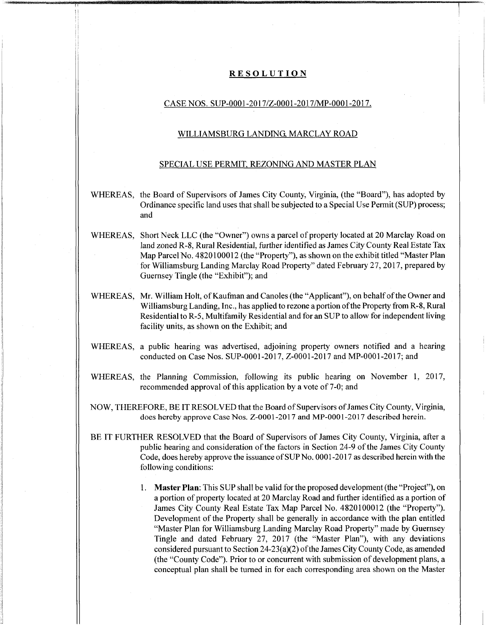## **RESOLUTION**

## CASE NOS. SUP-0001-2017/Z-0001-2017/MP-0001-2017.

## WILLIAMSBURG LANDING. MARCLAY ROAD

## SPECIAL USE PERMIT. REZONING AND MASTER PLAN

- WHEREAS, the Board of Supervisors of James City County, Virginia, (the "Board"), has adopted by Ordinance specific land uses that shall be subjected to a Special Use Permit (SUP) process; and
- WHEREAS, Short Neck LLC (the "Owner") owns a parcel of property located at 20 Marclay Road on land zoned R-8, Rural Residential, further identified as James City County Real Estate Tax Map Parcel No. 4820100012 (the "Property"), as shown on the exhibit titled "Master Plan for Williamsburg Landing Marclay Road Property" dated February 27, 2017, prepared by Guernsey Tingle (the "Exhibit"); and
- WHEREAS, Mr. William Holt, of Kaufman and Canoles (the "Applicant"), on behalf of the Owner and Williamsburg Landing, Inc., has applied to rezone a portion ofthe Property from R-8, Rural Residential to R-5, Multifamily Residential and for an SUP to allow for independent living facility units, as shown on the Exhibit; and
- WHEREAS, a public hearing was advertised, adjoining property owners notified and a hearing conducted on Case Nos. SUP-0001-2017, Z-0001-2017 and MP-0001-2017; and
- WHEREAS, the Planning Commission, following its public hearing on November 1, 2017, recommended approval of this application by a vote of 7-0; and
- NOW, THEREFORE, BE IT RESOLVED that the Board ofSupervisors ofJames City County, Virginia, does hereby approve Case Nos. Z-0001-2017 and MP-0001-2017 described herein.
- BE IT FURTHER RESOLVED that the Board of Supervisors of James City County, Virginia, after a public hearing and consideration ofthe factors in Section 24-9 ofthe James City County Code, does hereby approve the issuance ofSUPNo. 0001 -2017 as described herein with the following conditions:

**il**

1. **Master Plan:** This SUP shall be valid forthe proposed development (the "Project"), on a portion of property located at 20 Marclay Road and further identified as a portion of James City County Real Estate Tax Map Parcel No. 4820100012 (the "Property"). Development of the Property shall be generally in accordance with the plan entitled "Master Plan for Williamsburg Landing Marclay Road Property" made by Guernsey Tingle and dated February 27, 2017 (the "Master Plan"), with any deviations considered pursuant to Section 24-23(a)(2) of the James City County Code, as amended (the "County Code"). Prior to or concurrent with submission of development plans, a conceptual plan shall be turned in for each corresponding area shown on the Master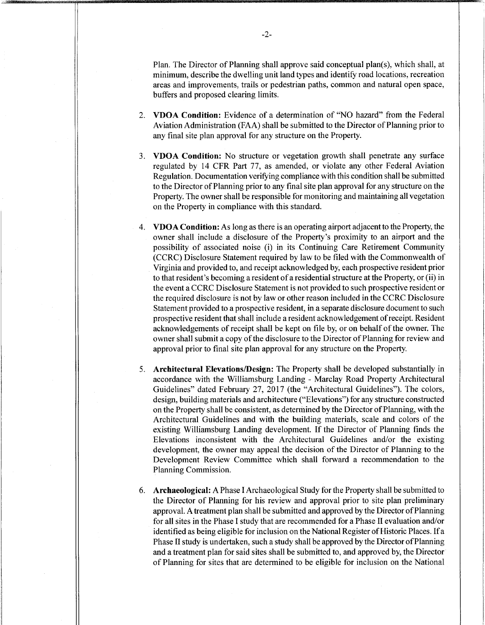Plan. The Director of Planning shall approve said conceptual plan(s), which shall, at minimum, describe the dwelling unit land types and identify road locations, recreation areas and improvements, trails or pedestrian paths, common and natural open space, buffers and proposed clearing limits.

- 2. **VDOA Condition:** Evidence of a determination of "NO hazard" from the Federal Aviation Administration (FAA) shall be submitted to the Director of Planning prior to any final site plan approval for any structure on the Property.
- 3. **VDOA Condition:** No structure or vegetation growth shall penetrate any surface regulated by 14 CFR Part 77, as amended, or violate any other Federal Aviation Regulation. Documentation verifying compliance with this condition shall be submitted to the Director ofPlanning prior to any final site plan approval for any structure on the Property. The owner shall be responsible for monitoring and maintaining all vegetation on the Property in compliance with this standard.
- 4. **VDOA Condition:** As long asthere is an operating airport adjacentto the Property, the owner shall include a disclosure of the Property's proximity to an airport and the possibility of associated noise (i) in its Continuing Care Retirement Community (CCRC) Disclosure Statement required by law to be filed with the Commonwealth of Virginia and provided to, and receipt acknowledged by, each prospective resident prior to that resident's becoming a resident of a residential structure at the Property, or (ii) in the event a CCRC Disclosure Statement is not provided to such prospective resident or the required disclosure is not by law or other reason included in the CCRC Disclosure Statement provided to a prospective resident, in a separate disclosure document to such prospective resident that shall include a resident acknowledgement ofreceipt. Resident acknowledgements of receipt shall be kept on file by, or on behalf of the owner. The owner shall submit a copy of the disclosure to the Director of Planning for review and approval prior to final site plan approval for any structure on the Property.
- 5. **Architectural Elevations/Design:** The Property shall be developed substantially in accordance with the Williamsburg Landing - Marclay Road Property Architectural Guidelines" dated February 27, 2017 (the "Architectural Guidelines"). The colors, design, building materials and architecture ("Elevations") for any structure constructed on the Property shall be consistent, as determined by the Director ofPlanning, with the Architectural Guidelines and with the building materials, scale and colors of the existing Williamsburg Landing development. If the Director of Planning finds the Elevations inconsistent with the Architectural Guidelines and/or the existing development, the owner may appeal the decision of the Director of Planning to the Development Review Committee which shall forward a recommendation to the Planning Commission.
- 6. **Archaeological:** A Phase I Archaeological Study for the Property shall be submitted to the Director of Planning for his review and approval prior to site plan preliminary approval. A treatment plan shall be submitted and approved by the Director ofPlanning for all sites in the Phase <sup>1</sup> study that are recommended for a Phase II evaluation and/or identified as being eligible for inclusion on the National Register of Historic Places. If a Phase II study is undertaken, such a study shall be approved by the Director ofPlanning and a treatment plan for said sites shall be submitted to, and approved by, the Director of Planning for sites that are determined to be eligible for inclusion on the National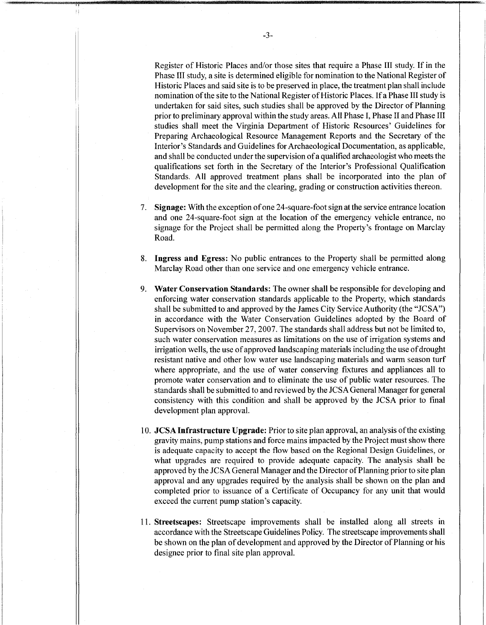Register of Historic Places and/or those sites that require a Phase III study. If in the Phase III study, a site is determined eligible for nomination to the National Register of Historic Places and said site is to be preserved in place, the treatment plan shall include nomination of the site to the National Register of Historic Places. If a Phase III study is undertaken for said sites, such studies shall be approved by the Director of Planning prior to preliminary approval within the study areas. All Phase I, Phase II and Phase III studies shall meet the Virginia Department of Historic Resources' Guidelines for Preparing Archaeological Resource Management Reports and the Secretary of the Interior's Standards and Guidelines for Archaeological Documentation, as applicable, and shall be conducted under the supervision of a qualified archaeologist who meets the qualifications set forth in the Secretary of the Interior's Professional Qualification Standards. All approved treatment plans shall be incorporated into the plan of development for the site and the clearing, grading or construction activities thereon.

- 7. **Signage:** With the exception ofone 24-square-foot sign at the service entrance location and one 24-square-foot sign at the location of the emergency vehicle entrance, no signage for the Project shall be permitted along the Property's frontage on Marclay Road.
- 8. **Ingress and Egress:** No public entrances to the Property shall be permitted along Marclay Road other than one service and one emergency vehicle entrance.
- 9. **Water Conservation Standards:** The owner shall be responsible for developing and enforcing water conservation standards applicable to the Property, which standards shall be submitted to and approved by the James City Service Authority (the "JCSA") in accordance with the Water Conservation Guidelines adopted by the Board of Supervisors on November 27,2007. The standards shall address but not be limited to, such water conservation measures as limitations on the use of irrigation systems and irrigation wells, the use of approved landscaping materials including the use of drought resistant native and other low water use landscaping materials and warm season turf where appropriate, and the use of water conserving fixtures and appliances all to promote water conservation and to eliminate the use of public water resources. The standards shall be submitted to and reviewed by the JCSA General Manager for general consistency with this condition and shall be approved by the JCSA prior to final development plan approval.
- 10. **JCSA Infrastructure Upgrade:** Prior to site plan approval, an analysis ofthe existing gravity mains, pump stations and force mains impacted by the Project must show there is adequate capacity to accept the flow based on the Regional Design Guidelines, or what upgrades are required to provide adequate capacity. The analysis shall be approved by the JCSA General Manager and the Director of Planning prior to site plan approval and any upgrades required by the analysis shall be shown on the plan and completed prior to issuance of a Certificate of Occupancy for any unit that would exceed the current pump station's capacity.
- 11. **Streetscapes:** Streetscape improvements shall be installed along all streets in accordance with the Streetscape Guidelines Policy. The streetscape improvements shall be shown on the plan of development and approved by the Director of Planning or his designee prior to final site plan approval.